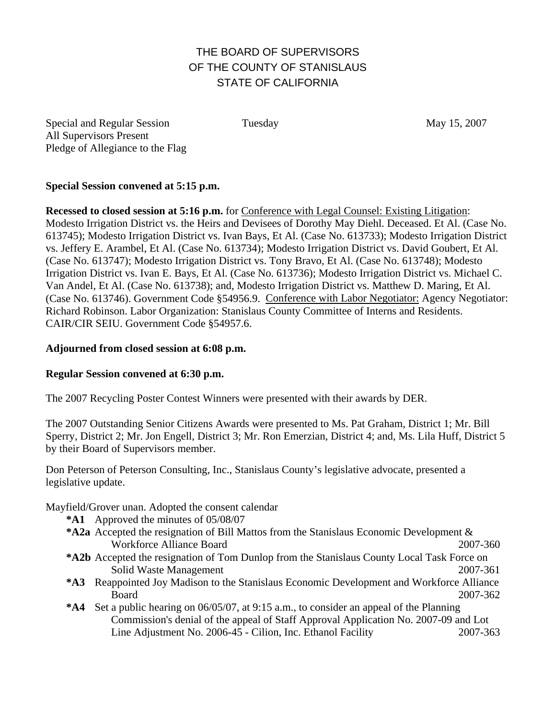# THE BOARD OF SUPERVISORS OF THE COUNTY OF STANISLAUS STATE OF CALIFORNIA

Special and Regular Session Tuesday May 15, 2007 All Supervisors Present Pledge of Allegiance to the Flag

### **Special Session convened at 5:15 p.m.**

**Recessed to closed session at 5:16 p.m.** for Conference with Legal Counsel: Existing Litigation: Modesto Irrigation District vs. the Heirs and Devisees of Dorothy May Diehl. Deceased. Et Al. (Case No. 613745); Modesto Irrigation District vs. Ivan Bays, Et Al. (Case No. 613733); Modesto Irrigation District vs. Jeffery E. Arambel, Et Al. (Case No. 613734); Modesto Irrigation District vs. David Goubert, Et Al. (Case No. 613747); Modesto Irrigation District vs. Tony Bravo, Et Al. (Case No. 613748); Modesto Irrigation District vs. Ivan E. Bays, Et Al. (Case No. 613736); Modesto Irrigation District vs. Michael C. Van Andel, Et Al. (Case No. 613738); and, Modesto Irrigation District vs. Matthew D. Maring, Et Al. (Case No. 613746). Government Code §54956.9. Conference with Labor Negotiator: Agency Negotiator: Richard Robinson. Labor Organization: Stanislaus County Committee of Interns and Residents. CAIR/CIR SEIU. Government Code §54957.6.

#### **Adjourned from closed session at 6:08 p.m.**

#### **Regular Session convened at 6:30 p.m.**

The 2007 Recycling Poster Contest Winners were presented with their awards by DER.

The 2007 Outstanding Senior Citizens Awards were presented to Ms. Pat Graham, District 1; Mr. Bill Sperry, District 2; Mr. Jon Engell, District 3; Mr. Ron Emerzian, District 4; and, Ms. Lila Huff, District 5 by their Board of Supervisors member.

Don Peterson of Peterson Consulting, Inc., Stanislaus County's legislative advocate, presented a legislative update.

Mayfield/Grover unan. Adopted the consent calendar

- **\*A1** Approved the minutes of 05/08/07
- **\*A2a** Accepted the resignation of Bill Mattos from the Stanislaus Economic Development & Workforce Alliance Board 2007-360
- **\*A2b** Accepted the resignation of Tom Dunlop from the Stanislaus County Local Task Force on Solid Waste Management 2007-361
- **\*A3** Reappointed Joy Madison to the Stanislaus Economic Development and Workforce Alliance Board 2007-362
- **\*A4** Set a public hearing on 06/05/07, at 9:15 a.m., to consider an appeal of the Planning Commission's denial of the appeal of Staff Approval Application No. 2007-09 and Lot Line Adjustment No. 2006-45 - Cilion, Inc. Ethanol Facility 2007-363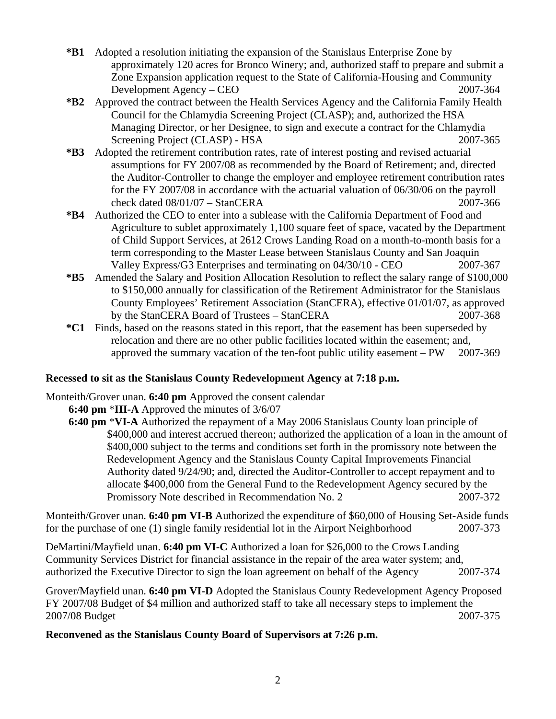- **\*B1** Adopted a resolution initiating the expansion of the Stanislaus Enterprise Zone by approximately 120 acres for Bronco Winery; and, authorized staff to prepare and submit a Zone Expansion application request to the State of California-Housing and Community Development Agency – CEO 2007-364
- **\*B2** Approved the contract between the Health Services Agency and the California Family Health Council for the Chlamydia Screening Project (CLASP); and, authorized the HSA Managing Director, or her Designee, to sign and execute a contract for the Chlamydia Screening Project (CLASP) - HSA 2007-365
- **\*B3** Adopted the retirement contribution rates, rate of interest posting and revised actuarial assumptions for FY 2007/08 as recommended by the Board of Retirement; and, directed the Auditor-Controller to change the employer and employee retirement contribution rates for the FY 2007/08 in accordance with the actuarial valuation of 06/30/06 on the payroll check dated 08/01/07 – StanCERA 2007-366
- **\*B4** Authorized the CEO to enter into a sublease with the California Department of Food and Agriculture to sublet approximately 1,100 square feet of space, vacated by the Department of Child Support Services, at 2612 Crows Landing Road on a month-to-month basis for a term corresponding to the Master Lease between Stanislaus County and San Joaquin Valley Express/G3 Enterprises and terminating on 04/30/10 - CEO 2007-367
- **\*B5** Amended the Salary and Position Allocation Resolution to reflect the salary range of \$100,000 to \$150,000 annually for classification of the Retirement Administrator for the Stanislaus County Employees' Retirement Association (StanCERA), effective 01/01/07, as approved by the StanCERA Board of Trustees – StanCERA 2007-368
- **\*C1** Finds, based on the reasons stated in this report, that the easement has been superseded by relocation and there are no other public facilities located within the easement; and, approved the summary vacation of the ten-foot public utility easement – PW 2007-369

## **Recessed to sit as the Stanislaus County Redevelopment Agency at 7:18 p.m.**

Monteith/Grover unan. **6:40 pm** Approved the consent calendar

- **6:40 pm** \***III-A** Approved the minutes of 3/6/07
	- **6:40 pm** \***VI-A** Authorized the repayment of a May 2006 Stanislaus County loan principle of \$400,000 and interest accrued thereon; authorized the application of a loan in the amount of \$400,000 subject to the terms and conditions set forth in the promissory note between the Redevelopment Agency and the Stanislaus County Capital Improvements Financial Authority dated 9/24/90; and, directed the Auditor-Controller to accept repayment and to allocate \$400,000 from the General Fund to the Redevelopment Agency secured by the Promissory Note described in Recommendation No. 2 2007-372

Monteith/Grover unan. **6:40 pm VI-B** Authorized the expenditure of \$60,000 of Housing Set-Aside funds for the purchase of one (1) single family residential lot in the Airport Neighborhood 2007-373

DeMartini/Mayfield unan. **6:40 pm VI-C** Authorized a loan for \$26,000 to the Crows Landing Community Services District for financial assistance in the repair of the area water system; and, authorized the Executive Director to sign the loan agreement on behalf of the Agency 2007-374

Grover/Mayfield unan. **6:40 pm VI-D** Adopted the Stanislaus County Redevelopment Agency Proposed FY 2007/08 Budget of \$4 million and authorized staff to take all necessary steps to implement the 2007/08 Budget 2007-375

**Reconvened as the Stanislaus County Board of Supervisors at 7:26 p.m.**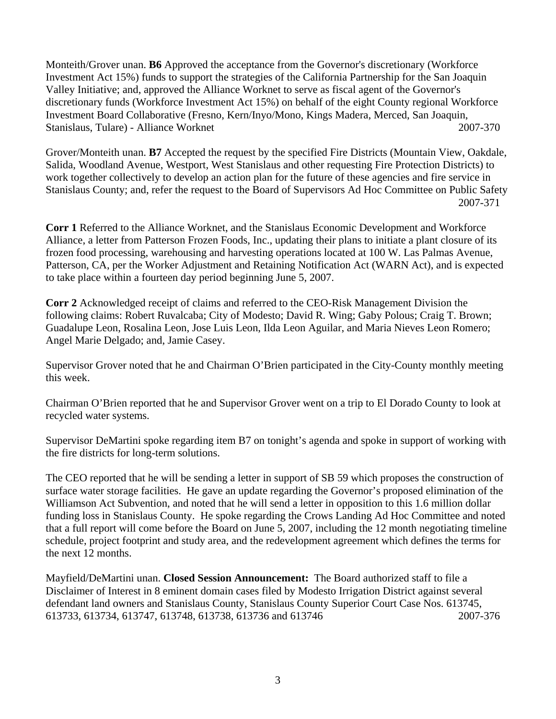Monteith/Grover unan. **B6** Approved the acceptance from the Governor's discretionary (Workforce Investment Act 15%) funds to support the strategies of the California Partnership for the San Joaquin Valley Initiative; and, approved the Alliance Worknet to serve as fiscal agent of the Governor's discretionary funds (Workforce Investment Act 15%) on behalf of the eight County regional Workforce Investment Board Collaborative (Fresno, Kern/Inyo/Mono, Kings Madera, Merced, San Joaquin, Stanislaus, Tulare) - Alliance Worknet 2007-370

Grover/Monteith unan. **B7** Accepted the request by the specified Fire Districts (Mountain View, Oakdale, Salida, Woodland Avenue, Westport, West Stanislaus and other requesting Fire Protection Districts) to work together collectively to develop an action plan for the future of these agencies and fire service in Stanislaus County; and, refer the request to the Board of Supervisors Ad Hoc Committee on Public Safety 2007-371

**Corr 1** Referred to the Alliance Worknet, and the Stanislaus Economic Development and Workforce Alliance, a letter from Patterson Frozen Foods, Inc., updating their plans to initiate a plant closure of its frozen food processing, warehousing and harvesting operations located at 100 W. Las Palmas Avenue, Patterson, CA, per the Worker Adjustment and Retaining Notification Act (WARN Act), and is expected to take place within a fourteen day period beginning June 5, 2007.

**Corr 2** Acknowledged receipt of claims and referred to the CEO-Risk Management Division the following claims: Robert Ruvalcaba; City of Modesto; David R. Wing; Gaby Polous; Craig T. Brown; Guadalupe Leon, Rosalina Leon, Jose Luis Leon, Ilda Leon Aguilar, and Maria Nieves Leon Romero; Angel Marie Delgado; and, Jamie Casey.

Supervisor Grover noted that he and Chairman O'Brien participated in the City-County monthly meeting this week.

Chairman O'Brien reported that he and Supervisor Grover went on a trip to El Dorado County to look at recycled water systems.

Supervisor DeMartini spoke regarding item B7 on tonight's agenda and spoke in support of working with the fire districts for long-term solutions.

The CEO reported that he will be sending a letter in support of SB 59 which proposes the construction of surface water storage facilities. He gave an update regarding the Governor's proposed elimination of the Williamson Act Subvention, and noted that he will send a letter in opposition to this 1.6 million dollar funding loss in Stanislaus County. He spoke regarding the Crows Landing Ad Hoc Committee and noted that a full report will come before the Board on June 5, 2007, including the 12 month negotiating timeline schedule, project footprint and study area, and the redevelopment agreement which defines the terms for the next 12 months.

Mayfield/DeMartini unan. **Closed Session Announcement:** The Board authorized staff to file a Disclaimer of Interest in 8 eminent domain cases filed by Modesto Irrigation District against several defendant land owners and Stanislaus County, Stanislaus County Superior Court Case Nos. 613745, 613733, 613734, 613747, 613748, 613738, 613736 and 613746 2007-376